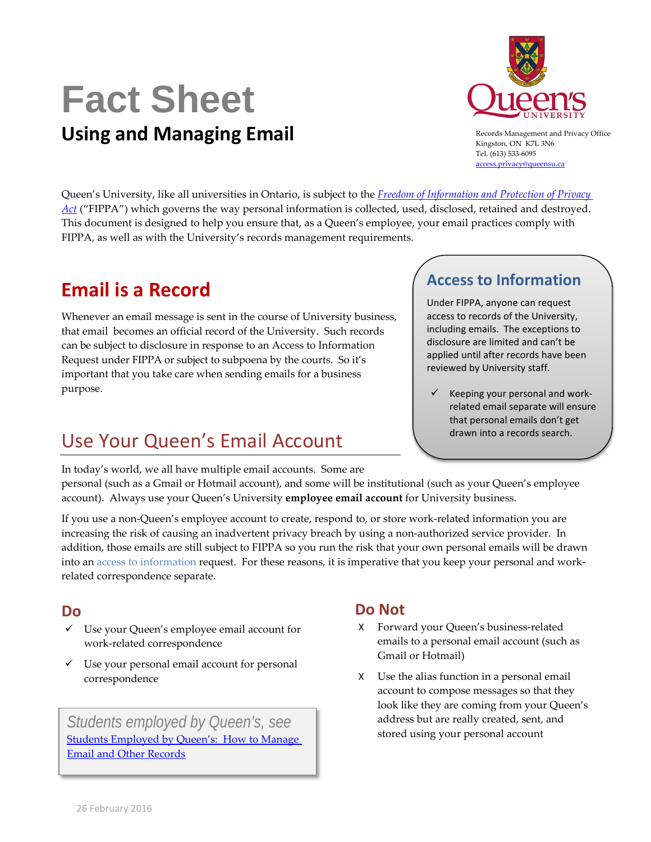# **Fact Sheet Using and Managing Email**



Records Management and Privacy Office Kingston, ON K7L 3N6 Tel. (613) 533-6095 [access.privacy@queensu.ca](mailto:access.privacy@queensu.ca)

Queen's University, like all universities in Ontario, is subject to the *[Freedom of Information and Protection of Privacy](http://www.ontario.ca/laws/statute/90f31)  [Act](http://www.ontario.ca/laws/statute/90f31)* ("FIPPA") which governs the way personal information is collected, used, disclosed, retained and destroyed. This document is designed to help you ensure that, as a Queen's employee, your email practices comply with FIPPA, as well as with the University's records management requirements.

# **Email is a Record**

Whenever an email message is sent in the course of University business, that email becomes an official record of the University. Such records can be subject to disclosure in response to an Access to Information Request under FIPPA or subject to subpoena by the courts. So it's important that you take care when sending emails for a business purpose.

# Use Your Queen's Email Account

In today's world, we all have multiple email accounts. Some are

## **Access to Information**

Under FIPPA, anyone can request access to records of the University, including emails. The exceptions to disclosure are limited and can't be applied until after records have been reviewed by University staff.

 $\checkmark$  Keeping your personal and workrelated email separate will ensure that personal emails don't get drawn into a records search.

personal (such as a Gmail or Hotmail account), and some will be institutional (such as your Queen's employee account). Always use your Queen's University **employee email account** for University business.

If you use a non-Queen's employee account to create, respond to, or store work-related information you are increasing the risk of causing an inadvertent privacy breach by using a non-authorized service provider. In addition, those emails are still subject to FIPPA so you run the risk that your own personal emails will be drawn into an access to information request. For these reasons, it is imperative that you keep your personal and workrelated correspondence separate.

#### **Do**

- $\checkmark$  Use your Queen's employee email account for work-related correspondence
- $\checkmark$  Use your personal email account for personal correspondence

*Students employed by Queen's, see* Students Employed by Queen's: How to Manage [Email and Other Records](https://qshare.queensu.ca/Groups/USEC/Legal/WebDocs/Published/Fact%20Sheet%20-%20Students%20Employed%20by%20Queen%27s.pdf)

## **Do Not**

- X Forward your Queen's business-related emails to a personal email account (such as Gmail or Hotmail)
- X Use the alias function in a personal email account to compose messages so that they look like they are coming from your Queen's address but are really created, sent, and stored using your personal account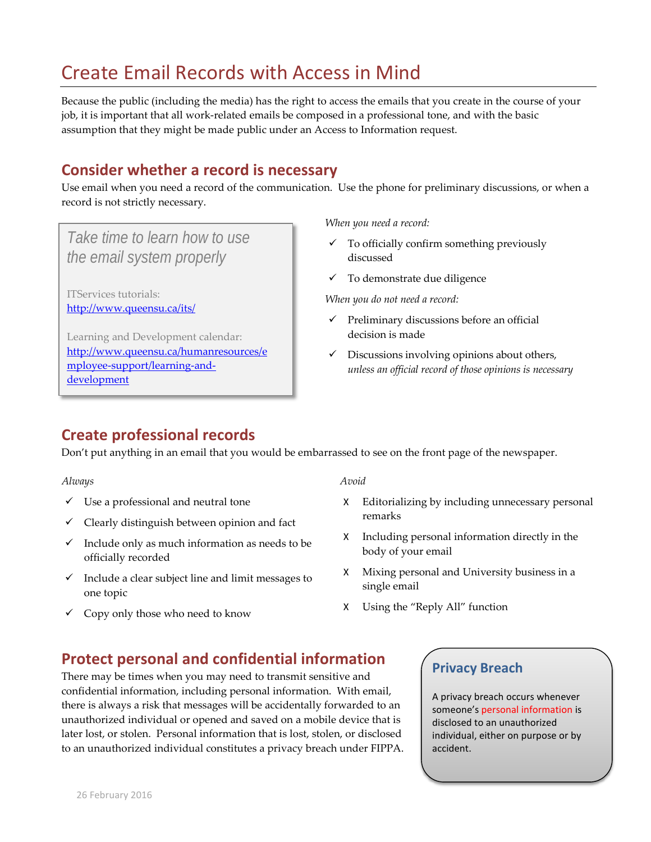# Create Email Records with Access in Mind

Because the public (including the media) has the right to access the emails that you create in the course of your job, it is important that all work-related emails be composed in a professional tone, and with the basic assumption that they might be made public under an Access to Information request.

## **Consider whether a record is necessary**

Use email when you need a record of the communication. Use the phone for preliminary discussions, or when a record is not strictly necessary.

## *Take time to learn how to use the email system properly*

ITServices tutorials: <http://www.queensu.ca/its/>

Learning and Development calendar: [http://www.queensu.ca/humanresources/e](http://www.queensu.ca/humanresources/employee-support/learning-and-development) [mployee-support/learning-and](http://www.queensu.ca/humanresources/employee-support/learning-and-development)[development](http://www.queensu.ca/humanresources/employee-support/learning-and-development)

*When you need a record:*

- $\checkmark$  To officially confirm something previously discussed
- $\checkmark$  To demonstrate due diligence

*When you do not need a record:*

- $\checkmark$  Preliminary discussions before an official decision is made
- $\checkmark$  Discussions involving opinions about others, *unless an official record of those opinions is necessary*

## **Create professional records**

Don't put anything in an email that you would be embarrassed to see on the front page of the newspaper.

#### *Always*

- Use a professional and neutral tone
- $\checkmark$  Clearly distinguish between opinion and fact
- $\checkmark$  Include only as much information as needs to be officially recorded
- $\checkmark$  Include a clear subject line and limit messages to one topic
- $\checkmark$  Copy only those who need to know

#### *Avoid*

- X Editorializing by including unnecessary personal remarks
- X Including personal information directly in the body of your email
- X Mixing personal and University business in a single email
- X Using the "Reply All" function

## **Protect personal and confidential information**

There may be times when you may need to transmit sensitive and confidential information, including personal information. With email, there is always a risk that messages will be accidentally forwarded to an unauthorized individual or opened and saved on a mobile device that is later lost, or stolen. Personal information that is lost, stolen, or disclosed to an unauthorized individual constitutes a privacy breach under FIPPA.

#### **Privacy Breach**

A privacy breach occurs whenever someone's personal information is disclosed to an unauthorized individual, either on purpose or by accident.